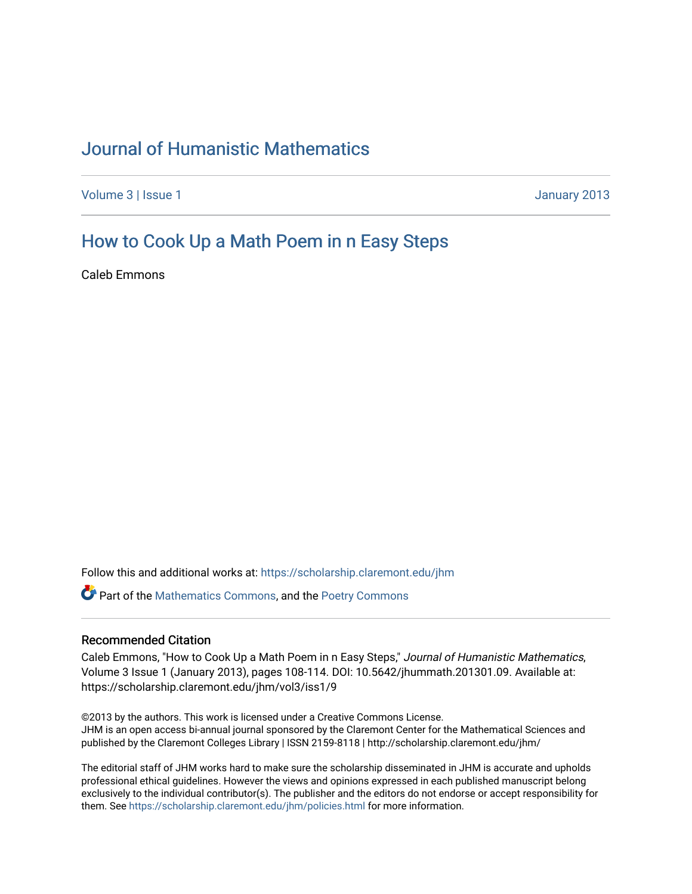# [Journal of Humanistic Mathematics](https://scholarship.claremont.edu/jhm)

[Volume 3](https://scholarship.claremont.edu/jhm/vol3) | [Issue 1](https://scholarship.claremont.edu/jhm/vol3/iss1) January 2013

# [How to Cook Up a Math Poem in n Easy Steps](https://scholarship.claremont.edu/jhm/vol3/iss1/9)

Caleb Emmons

Follow this and additional works at: [https://scholarship.claremont.edu/jhm](https://scholarship.claremont.edu/jhm?utm_source=scholarship.claremont.edu%2Fjhm%2Fvol3%2Fiss1%2F9&utm_medium=PDF&utm_campaign=PDFCoverPages)

Part of the [Mathematics Commons](http://network.bepress.com/hgg/discipline/174?utm_source=scholarship.claremont.edu%2Fjhm%2Fvol3%2Fiss1%2F9&utm_medium=PDF&utm_campaign=PDFCoverPages), and the [Poetry Commons](http://network.bepress.com/hgg/discipline/1153?utm_source=scholarship.claremont.edu%2Fjhm%2Fvol3%2Fiss1%2F9&utm_medium=PDF&utm_campaign=PDFCoverPages) 

## Recommended Citation

Caleb Emmons, "How to Cook Up a Math Poem in n Easy Steps," Journal of Humanistic Mathematics, Volume 3 Issue 1 (January 2013), pages 108-114. DOI: 10.5642/jhummath.201301.09. Available at: https://scholarship.claremont.edu/jhm/vol3/iss1/9

©2013 by the authors. This work is licensed under a Creative Commons License. JHM is an open access bi-annual journal sponsored by the Claremont Center for the Mathematical Sciences and published by the Claremont Colleges Library | ISSN 2159-8118 | http://scholarship.claremont.edu/jhm/

The editorial staff of JHM works hard to make sure the scholarship disseminated in JHM is accurate and upholds professional ethical guidelines. However the views and opinions expressed in each published manuscript belong exclusively to the individual contributor(s). The publisher and the editors do not endorse or accept responsibility for them. See<https://scholarship.claremont.edu/jhm/policies.html> for more information.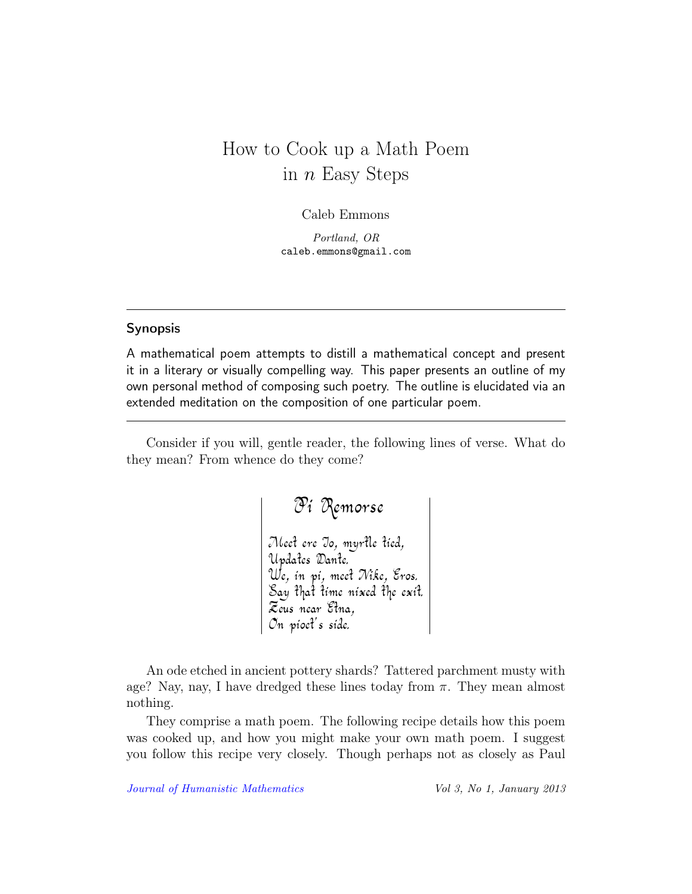# How to Cook up a Math Poem in  $n$  Easy Steps

Caleb Emmons

Portland, OR caleb.emmons@gmail.com

# Synopsis

A mathematical poem attempts to distill a mathematical concept and present it in a literary or visually compelling way. This paper presents an outline of my own personal method of composing such poetry. The outline is elucidated via an extended meditation on the composition of one particular poem.

Consider if you will, gentle reader, the following lines of verse. What do they mean? From whence do they come?

> Pi Remorse Meet ere Io, myrtle tied, Updates Dante. We, in pi, meet Nike, Eros. Say that time nixed the exit. Zeus near Etna, On pioet's side.

An ode etched in ancient pottery shards? Tattered parchment musty with age? Nay, nay, I have dredged these lines today from  $\pi$ . They mean almost nothing.

They comprise a math poem. The following recipe details how this poem was cooked up, and how you might make your own math poem. I suggest you follow this recipe very closely. Though perhaps not as closely as Paul

[Journal of Humanistic Mathematics](http://scholarship.claremont.edu/jhm/) Vol 3, No 1, January 2013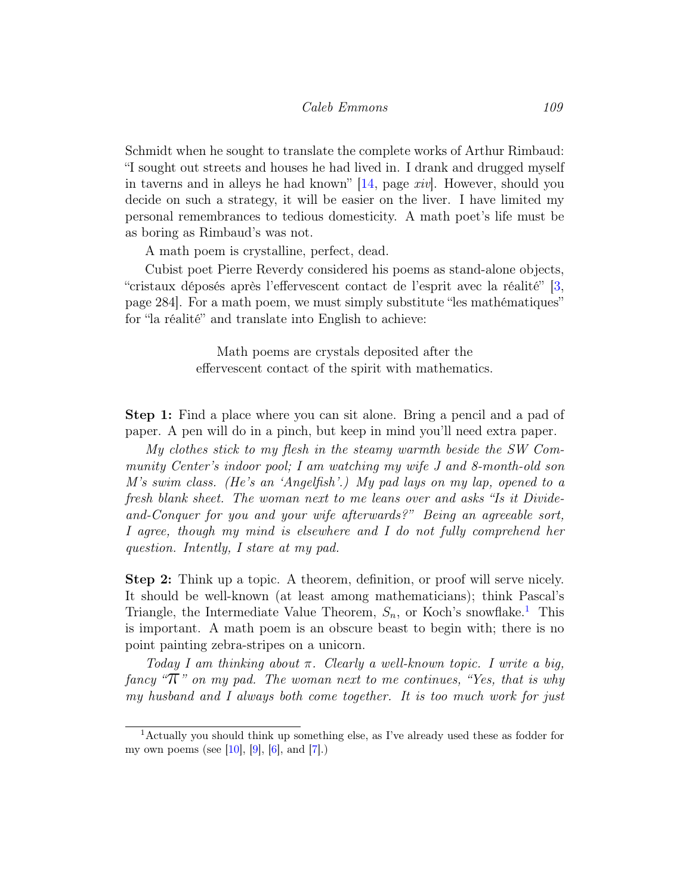Schmidt when he sought to translate the complete works of Arthur Rimbaud: "I sought out streets and houses he had lived in. I drank and drugged myself in taverns and in alleys he had known" [\[14,](#page-7-0) page xiv]. However, should you decide on such a strategy, it will be easier on the liver. I have limited my personal remembrances to tedious domesticity. A math poet's life must be as boring as Rimbaud's was not.

A math poem is crystalline, perfect, dead.

Cubist poet Pierre Reverdy considered his poems as stand-alone objects, "cristaux déposés après l'effervescent contact de l'esprit avec la réalité" [\[3,](#page-7-1) page 284]. For a math poem, we must simply substitute "les mathématiques" for "la réalité" and translate into English to achieve:

> Math poems are crystals deposited after the effervescent contact of the spirit with mathematics.

Step 1: Find a place where you can sit alone. Bring a pencil and a pad of paper. A pen will do in a pinch, but keep in mind you'll need extra paper.

My clothes stick to my flesh in the steamy warmth beside the SW Community Center's indoor pool; I am watching my wife J and 8-month-old son M's swim class. (He's an 'Angelfish'.) My pad lays on my lap, opened to a fresh blank sheet. The woman next to me leans over and asks "Is it Divideand-Conquer for you and your wife afterwards?" Being an agreeable sort, I agree, though my mind is elsewhere and I do not fully comprehend her question. Intently, I stare at my pad.

Step 2: Think up a topic. A theorem, definition, or proof will serve nicely. It should be well-known (at least among mathematicians); think Pascal's Triangle, the Intermediate Value Theorem,  $S_n$ , or Koch's snowflake.<sup>[1](#page-2-0)</sup> This is important. A math poem is an obscure beast to begin with; there is no point painting zebra-stripes on a unicorn.

Today I am thinking about  $\pi$ . Clearly a well-known topic. I write a big, fancy " $\pi$ " on my pad. The woman next to me continues, "Yes, that is why my husband and I always both come together. It is too much work for just

<span id="page-2-0"></span><sup>1</sup>Actually you should think up something else, as I've already used these as fodder for my own poems (see [\[10\]](#page-7-2), [\[9\]](#page-7-3), [\[6\]](#page-7-4), and [\[7\]](#page-7-5).)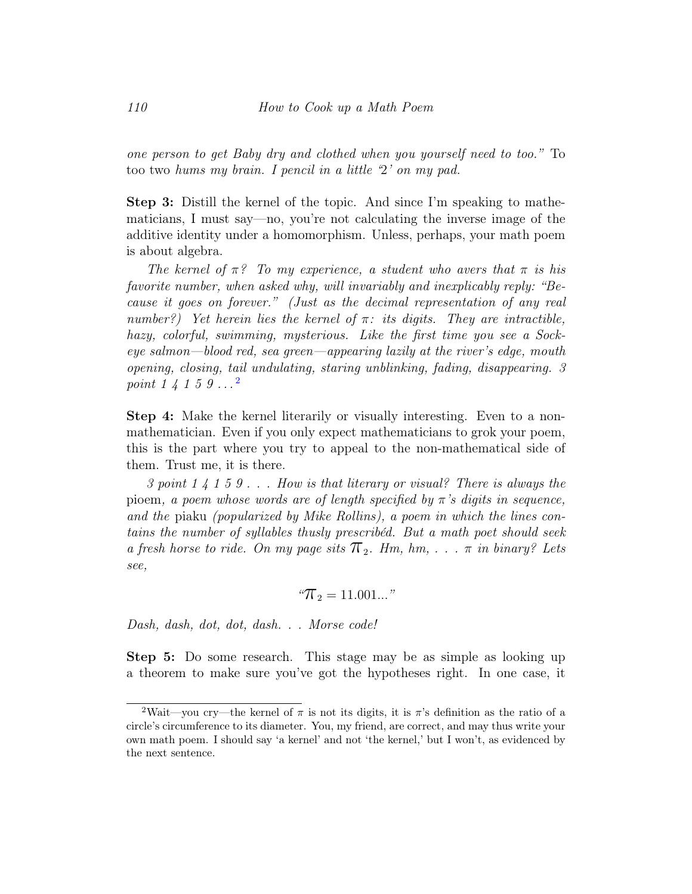one person to get Baby dry and clothed when you yourself need to too." To too two hums my brain. I pencil in a little '2' on my pad.

Step 3: Distill the kernel of the topic. And since I'm speaking to mathematicians, I must say—no, you're not calculating the inverse image of the additive identity under a homomorphism. Unless, perhaps, your math poem is about algebra.

The kernel of  $\pi$ ? To my experience, a student who avers that  $\pi$  is his favorite number, when asked why, will invariably and inexplicably reply: "Because it goes on forever." (Just as the decimal representation of any real number?) Yet herein lies the kernel of  $\pi$ : its digits. They are intractible, hazy, colorful, swimming, mysterious. Like the first time you see a Sockeye salmon—blood red, sea green—appearing lazily at the river's edge, mouth opening, closing, tail undulating, staring unblinking, fading, disappearing. 3 point  $1 \nmid 1 \nmid 5 \nmid 9 \nldots^2$  $1 \nmid 1 \nmid 5 \nmid 9 \nldots^2$ 

Step 4: Make the kernel literarily or visually interesting. Even to a nonmathematician. Even if you only expect mathematicians to grok your poem, this is the part where you try to appeal to the non-mathematical side of them. Trust me, it is there.

3 point 1 4 1 5 9 . . . How is that literary or visual? There is always the pioem, a poem whose words are of length specified by  $\pi$ 's digits in sequence, and the piaku (popularized by Mike Rollins), a poem in which the lines contains the number of syllables thusly prescribéd. But a math poet should seek a fresh horse to ride. On my page sits  $\pi_2$ . Hm, hm, ...  $\pi$  in binary? Lets see,

$$
{}^a\!\mathcal{T}_2 = 11.001...
$$
"

Dash, dash, dot, dot, dash. . . Morse code!

Step 5: Do some research. This stage may be as simple as looking up a theorem to make sure you've got the hypotheses right. In one case, it

<span id="page-3-0"></span><sup>&</sup>lt;sup>2</sup>Wait—you cry—the kernel of  $\pi$  is not its digits, it is  $\pi$ 's definition as the ratio of a circle's circumference to its diameter. You, my friend, are correct, and may thus write your own math poem. I should say 'a kernel' and not 'the kernel,' but I won't, as evidenced by the next sentence.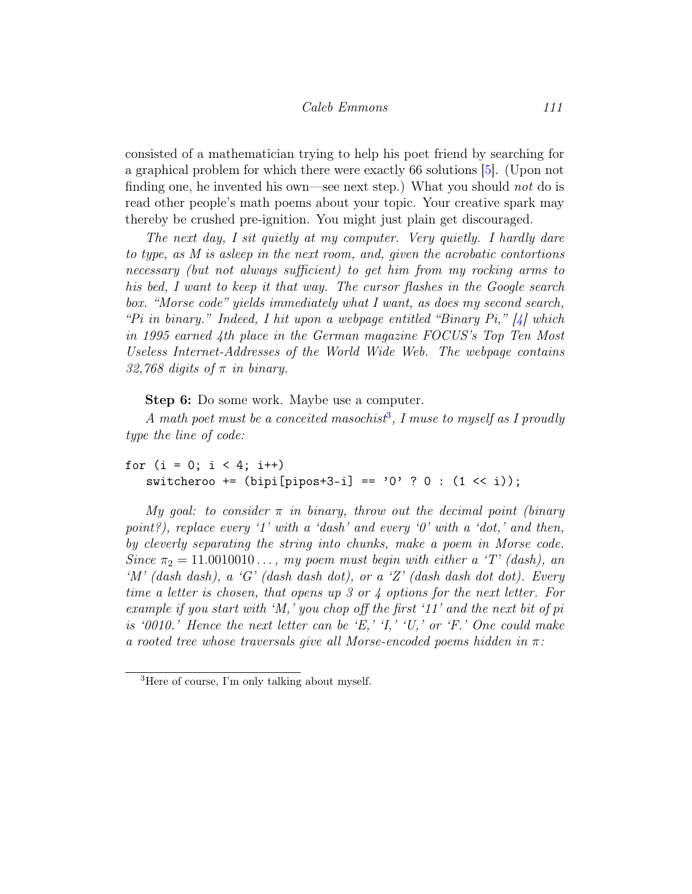consisted of a mathematician trying to help his poet friend by searching for a graphical problem for which there were exactly 66 solutions [\[5\]](#page-7-6). (Upon not finding one, he invented his own—see next step.) What you should *not* do is read other people's math poems about your topic. Your creative spark may thereby be crushed pre-ignition. You might just plain get discouraged.

The next day, I sit quietly at my computer. Very quietly. I hardly dare to type, as M is asleep in the next room, and, given the acrobatic contortions necessary (but not always sufficient) to get him from my rocking arms to his bed, I want to keep it that way. The cursor flashes in the Google search box. "Morse code" yields immediately what I want, as does my second search, "Pi in binary." Indeed, I hit upon a webpage entitled "Binary Pi,"  $\frac{1}{4}$  which in 1995 earned 4th place in the German magazine FOCUS's Top Ten Most Useless Internet-Addresses of the World Wide Web. The webpage contains 32,768 digits of  $\pi$  in binary.

Step 6: Do some work. Maybe use a computer.

A math poet must be a conceited masochist<sup>[3](#page-4-0)</sup>, I muse to myself as I proudly type the line of code:

```
for (i = 0; i < 4; i++)switcheroo += (bipi[pipos+3-i] == '0' ? 0 : (1 << i));
```
My goal: to consider  $\pi$  in binary, throw out the decimal point (binary point?), replace every '1' with a 'dash' and every '0' with a 'dot,' and then, by cleverly separating the string into chunks, make a poem in Morse code. Since  $\pi_2 = 11.0010010...$ , my poem must begin with either a 'T' (dash), an  $'M'$  (dash dash), a 'G' (dash dash dot), or a 'Z' (dash dash dot dot). Every time a letter is chosen, that opens up 3 or 4 options for the next letter. For example if you start with 'M,' you chop off the first '11' and the next bit of pi is '0010.' Hence the next letter can be 'E,' 'I,' 'U,' or 'F.' One could make a rooted tree whose traversals give all Morse-encoded poems hidden in  $\pi$ :

<span id="page-4-0"></span><sup>3</sup>Here of course, I'm only talking about myself.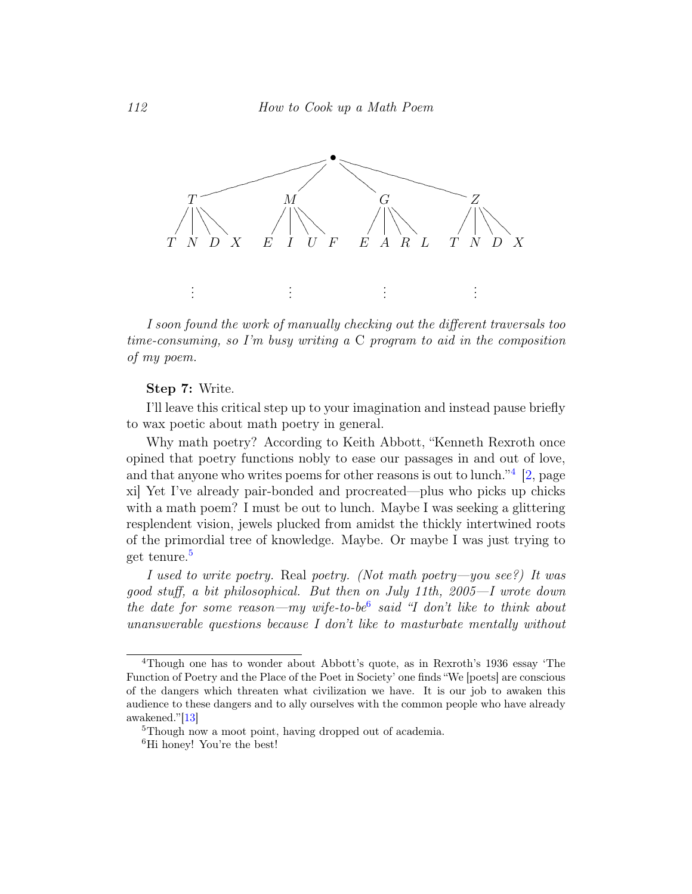

I soon found the work of manually checking out the different traversals too time-consuming, so I'm busy writing a C program to aid in the composition of my poem.

## Step 7: Write.

I'll leave this critical step up to your imagination and instead pause briefly to wax poetic about math poetry in general.

Why math poetry? According to Keith Abbott, "Kenneth Rexroth once opined that poetry functions nobly to ease our passages in and out of love, and that anyone who writes poems for other reasons is out to lunch."<sup>[4](#page-5-0)</sup> [\[2,](#page-6-0) page xi] Yet I've already pair-bonded and procreated—plus who picks up chicks with a math poem? I must be out to lunch. Maybe I was seeking a glittering resplendent vision, jewels plucked from amidst the thickly intertwined roots of the primordial tree of knowledge. Maybe. Or maybe I was just trying to get tenure.[5](#page-5-1)

I used to write poetry. Real poetry. (Not math poetry—you see?) It was good stuff, a bit philosophical. But then on July 11th, 2005—I wrote down the date for some reason—my wife-to-be<sup>[6](#page-5-2)</sup> said "I don't like to think about unanswerable questions because I don't like to masturbate mentally without

<span id="page-5-0"></span><sup>4</sup>Though one has to wonder about Abbott's quote, as in Rexroth's 1936 essay 'The Function of Poetry and the Place of the Poet in Society' one finds "We [poets] are conscious of the dangers which threaten what civilization we have. It is our job to awaken this audience to these dangers and to ally ourselves with the common people who have already awakened."[\[13\]](#page-7-8)

<span id="page-5-1"></span><sup>5</sup>Though now a moot point, having dropped out of academia.

<span id="page-5-2"></span><sup>&</sup>lt;sup>6</sup>Hi honey! You're the best!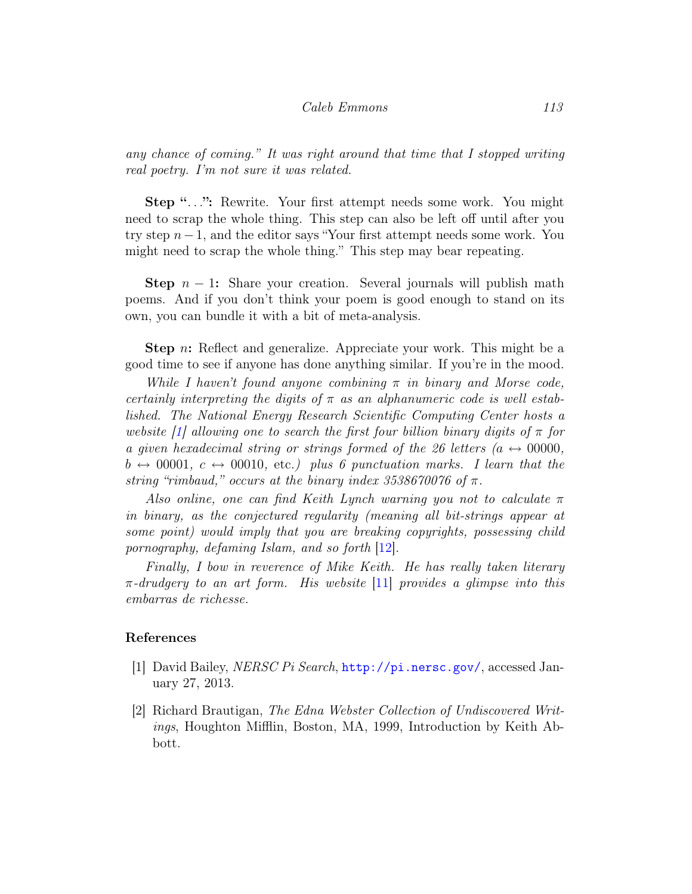## Caleb Emmons 113

any chance of coming." It was right around that time that I stopped writing real poetry. I'm not sure it was related.

Step "...": Rewrite. Your first attempt needs some work. You might need to scrap the whole thing. This step can also be left off until after you try step n−1, and the editor says "Your first attempt needs some work. You might need to scrap the whole thing." This step may bear repeating.

**Step**  $n - 1$ : Share your creation. Several journals will publish math poems. And if you don't think your poem is good enough to stand on its own, you can bundle it with a bit of meta-analysis.

**Step** n: Reflect and generalize. Appreciate your work. This might be a good time to see if anyone has done anything similar. If you're in the mood.

While I haven't found anyone combining  $\pi$  in binary and Morse code, certainly interpreting the digits of  $\pi$  as an alphanumeric code is well established. The National Energy Research Scientific Computing Center hosts a website  $\lceil 1 \rceil$  allowing one to search the first four billion binary digits of  $\pi$  for a given hexadecimal string or strings formed of the 26 letters ( $a \leftrightarrow 00000$ ,  $b \leftrightarrow 00001$ ,  $c \leftrightarrow 00010$ , etc.) plus 6 punctuation marks. I learn that the string "rimbaud," occurs at the binary index  $3538670076$  of  $\pi$ .

Also online, one can find Keith Lynch warning you not to calculate  $\pi$ in binary, as the conjectured regularity (meaning all bit-strings appear at some point) would imply that you are breaking copyrights, possessing child pornography, defaming Islam, and so forth [\[12\]](#page-7-9).

Finally, I bow in reverence of Mike Keith. He has really taken literary  $\pi$ -drudgery to an art form. His website [\[11\]](#page-7-10) provides a glimpse into this embarras de richesse.

## References

- <span id="page-6-1"></span>[1] David Bailey, NERSC Pi Search, <http://pi.nersc.gov/>, accessed January 27, 2013.
- <span id="page-6-0"></span>[2] Richard Brautigan, The Edna Webster Collection of Undiscovered Writings, Houghton Mifflin, Boston, MA, 1999, Introduction by Keith Abbott.